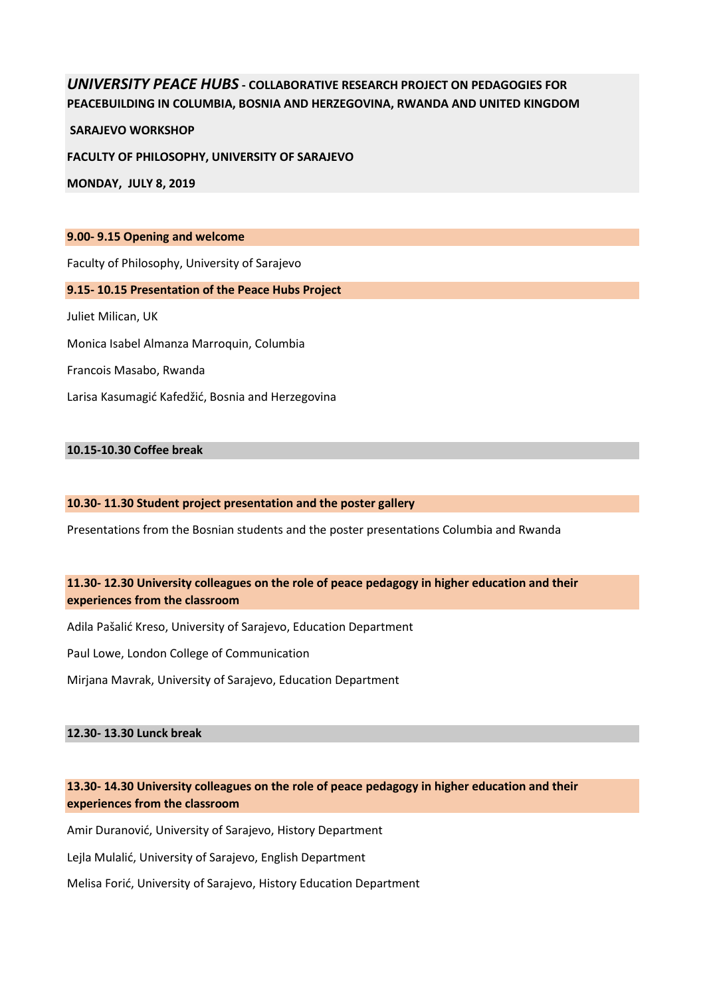# *UNIVERSITY PEACE HUBS* **- COLLABORATIVE RESEARCH PROJECT ON PEDAGOGIES FOR PEACEBUILDING IN COLUMBIA, BOSNIA AND HERZEGOVINA, RWANDA AND UNITED KINGDOM**

**SARAJEVO WORKSHOP** 

**FACULTY OF PHILOSOPHY, UNIVERSITY OF SARAJEVO**

**MONDAY, JULY 8, 2019**

#### **9.00- 9.15 Opening and welcome**

Faculty of Philosophy, University of Sarajevo

### **9.15- 10.15 Presentation of the Peace Hubs Project**

Juliet Milican, UK

Monica Isabel Almanza Marroquin, Columbia

Francois Masabo, Rwanda

Larisa Kasumagić Kafedžić, Bosnia and Herzegovina

### **10.15-10.30 Coffee break**

### **10.30- 11.30 Student project presentation and the poster gallery**

Presentations from the Bosnian students and the poster presentations Columbia and Rwanda

# **11.30- 12.30 University colleagues on the role of peace pedagogy in higher education and their experiences from the classroom**

Adila Pašalić Kreso, University of Sarajevo, Education Department

Paul Lowe, London College of Communication

Mirjana Mavrak, University of Sarajevo, Education Department

#### **12.30- 13.30 Lunck break**

# **13.30- 14.30 University colleagues on the role of peace pedagogy in higher education and their experiences from the classroom**

Amir Duranović, University of Sarajevo, History Department

Lejla Mulalić, University of Sarajevo, English Department

Melisa Forić, University of Sarajevo, History Education Department